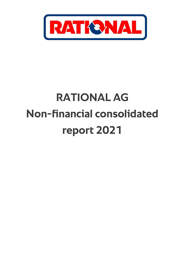

# **RATIONAL AG Non-financial consolidated report 2021**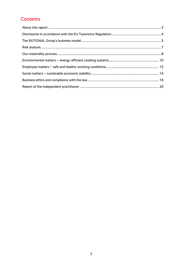### Contents

<span id="page-1-0"></span>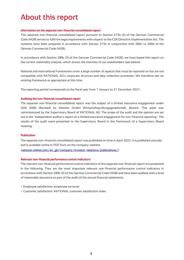## About this report

#### **Information on the separate non-financial consolidated report**

This separate non-financial consolidated report pursuant to Section 315b (3) of the German Commercial Code (HGB) serves to fulfil the legal requirements with respect to the CSR Directive Implementation Act. The contents have been prepared in accordance with Section 315c in conjunction with 289c to 289e of the German Commercial Code (HGB).

In accordance with Section 289c (3) of the German Commercial Code (HGB), we have based this report on the current materiality analysis, which shows the interests of our stakeholders (see below).

National and international frameworks cover a large number of aspects that must be reported on but are not compatible with RATIONAL AG's corporate structure and data collection processes. We therefore see no existing framework as appropriate at this time.

The reporting period corresponds to the fiscal year from 1 January to 31 December 2021.

#### **Auditing the non-financial consolidated report**

The separate non-financial consolidated report was the subject of a limited assurance engagement under ISAE 3000 (Revised) by Deloitte GmbH Wirtschaftsprüfungsgesellschaft, Munich. This audit was commissioned by the Supervisory Board of RATIONAL AG. The scope of the audit and the opinion are set out in the "Independent auditor's report on a limited assurance engagement for non-financial reporting". The results of the audit were presented to the Supervisory Board in the framework of a Supervisory Board meeting.

#### **Publication**

The separate non-financial consolidated report was published on time in April 2022. It is published annually and is available online in PDF form on the company website.

[\(rational-online.com/en\\_gb/company/investor-relations/publications/\)](https://www.rational-online.com/en_gb/company/investor-relations/)

#### **Relevant non-financial performance control indicators**

The relevant non-financial performance control indicators of the separate non-financial report are presented in the following. They are the most important relevant non-financial performance control indicators in accordance with Section 289c (3) of the German Commercial Code (HGB) and have been audited with a level of reasonable assurance as part of the audit of the annual financial statements.

- > Employee satisfaction: employee turnover
- <span id="page-2-0"></span>> Customer satisfaction: RATIONAL customer satisfaction index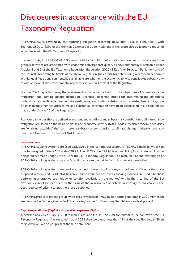# Disclosures in accordance with the EU Taxonomy Regulation

RATIONAL AG is covered by the reporting obligation according to Section 315c in conjunction with Sections 289c to 289e of the German Commercial Code (HGB) and is therefore also obligated to report in accordance with the EU Taxonomy Regulation.

In view of this, it is RATIONAL AG's responsibility to publish information on how and to what extent the group's activities are associated with economic activities that qualify as environmentally sustainable under Articles 3 and 9 of the EU Taxonomy Regulation (Regulation 2020/852 of the European Parliament and of the Council). According to Article of the above Regulation, the criteria for determining whether an economic activity qualifies as environmentally sustainable are whether the economic activity contributes substantially to one or more of the environmental objectives set out in Article 9 of the Regulation.

For the 2021 reporting year, the assessment is to be carried out for the objectives of "climate change mitigation" and "climate change adaptation." Technical screening criteria for determining the conditions under which a specific economic activity qualifies as contributing substantially to climate change mitigation or as enabling other activities to make a substantial contribution have been established in a delegated act made under Article 10 of the Regulation.

Economic activities that are defined as such and make a direct and substantial contribution to climate change mitigation are listed on the basis of classes of economic activity (NACE codes). Which economic activities are "enabling activities" that can make a substantial contribution to climate change mitigation are also described, likewise on the basis of NACE codes.

#### **Sales revenues**

RATIONAL cooking systems are used exclusively in the commercial sector. RATIONAL's main activities can thus be assigned to the NACE code C28.93. The NACE code C28.93 is not explicitly listed in Annex 1 of the delegated act made under Article 10 of the EU Taxonomy Regulation. The manufacture and distribution of RATIONAL cooking systems may be "enabling economic activities" and thus taxonomy-eligible.

RATIONAL cooking systems are used in extremely different applications, a broad range of food is thermally prepared in them, and RATIONAL has only limited influence on how its cooking systems are used. The "best performing alternative technology or solution available on the market" within the meaning of the EU taxonomy cannot be identified on the basis of the available set of criteria. According to our analysis, the described set of criteria cannot therefore be applied.

RATIONAL products and the group-wide sales revenues of 779.7 million euros generated in 2022 from them are classified as "not eligible under EU taxonomy" as the EU Taxonomy Regulation stands at present.

#### **Capital expenditures (CapEx) and operating expenses (OpEx)**

A detailed analysis of CapEx (25.8 million euros) and OpEx (272.7 million euros) in the context of the EU Taxonomy Regulation has revealed that in 2021 they were each less than 1% of the specified totals. Given their low level, we do not present them in detail here.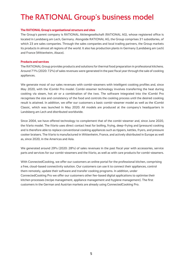# <span id="page-4-0"></span>The RATIONAL Group's business model

#### **The RATIONAL Group's organisational structure and sites**

The Group's parent company is RATIONAL Aktiengesellschaft (RATIONAL AG), whose registered office is located in Landsberg am Lech, Germany. Alongside RATIONAL AG, the Group comprises 31 subsidiaries, of which 23 are sales companies. Through the sales companies and local trading partners, the Group markets its products in almost all regions of the world. It also has production plants in Germany (Landsberg am Lech) and France (Wittenheim, Alsace).

#### **Products and services**

The RATIONAL Group provides products and solutions for thermal food preparation in professional kitchens. Around 71% (2020: 72%) of sales revenues were generated in the past fiscal year through the sale of cooking appliances.

We generate most of our sales revenues with combi-steamers with intelligent cooking profiles and, since May 2020, with the iCombi Pro model. Combi-steamer technology involves transferring the heat during cooking via steam, hot air or a combination of the two. The software integrated into the iCombi Pro recognises the size and consistency of the food and controls the cooking process until the desired cooking result is attained. In addition, we offer our customers a basic combi-steamer model as well as the iCombi Classic, which was launched in May 2020. All models are produced at the company's headquarters in Landsberg am Lech and distributed worldwide.

Since 2004, we have offered technology to complement that of the combi-steamer and, since June 2020, the iVario model. The iVario uses direct contact heat for boiling, frying, deep-frying and (pressure) cooking and is therefore able to replace conventional cooking appliances such as tippers, kettles, fryers, and pressure cooker braisers. The iVario is manufactured in Wittenheim, France, and actively distributed in Europe as well as, since 2020, in the Americas and Asia.

We generated around 29% (2020: 28%) of sales revenues in the past fiscal year with accessories, service parts and services for our combi-steamers and the iVario, as well as with care products for combi-steamers.

With ConnectedCooking, we offer our customers an online portal for the professional kitchen, comprising a free, cloud-based connectivity solution. Our customers can use it to connect their appliances, control them remotely, update their software and transfer cooking programs. In addition, under ConnectedCooking Pro we offer our customers other fee-based digital applications to optimise their kitchen processes (recipe management, appliance management and hygiene management). The first customers in the German and Austrian markets are already using ConnectedCooking Pro.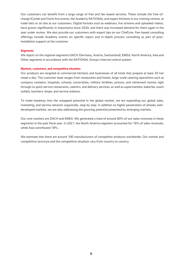Our customers can benefit from a large range of free and fee-based services. These include the free-ofcharge iCombi and iVario live events, the Academy RATIONAL and expert kitchens in our training centres, at trade fairs or on site at our customers. Digital formats such as webinars, live streams and uploaded videos, have grown significantly in importance since 2020, and there was increased demand for them again in the year under review. We also provide our customers with expert tips on our ChefLine. Fee-based consulting offerings include Academy events on specific topics and in-depth process consulting as part of postinstallation support at the customer.

#### **Segments**

We report on the regional segments DACH (Germany, Austria, Switzerland), EMEA, North America, Asia and Other segments in accordance with the RATIONAL Group's internal control system.

#### **Markets, customers, and competitive situation**

Our products are targeted at commercial kitchens and businesses of all kinds that prepare at least 20 hot meals a day. The customer base ranges from restaurants and hotels, large-scale catering operations such as company canteens, hospitals, schools, universities, military facilities, prisons, and retirement homes right through to quick service restaurants, caterers, and delivery services, as well as supermarkets, bakeries, snack outlets, butchers' shops, and service stations.

To make headway into the untapped potential in the global market, we are expanding our global sales, marketing, and service network organically, step by step. In addition to higher penetration of already welldeveloped markets, we are also addressing the growing potential presented by emerging markets.

Our core markets are DACH and EMEA. We generated a total of around 60% of our sales revenues in these segments in the past fiscal year. In 2021, the North America segment accounted for 19% of sales revenues, while Asia contributed 18%.

We estimate that there are around 100 manufacturers of competitor products worldwide. Our market and competitive structure and the competitive situation vary from country to country.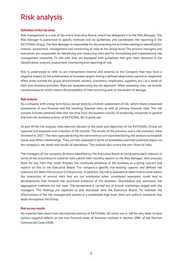## <span id="page-6-0"></span>Risk analysis

#### **Definition of the risk areas**

Risk management is a task of the entire Executive Board, which has delegated it to the Risk Manager. The Risk Manager is authorised to specify methods and set guidelines, and coordinates risk reporting in the RATIONAL Group. The Risk Manager is responsible for documenting the activities relating to identification, analysis, assessment, management and monitoring of risks at the Group level. The process managers and executives are responsible for identifying and measuring risks and for formulating and implementing risk management measures. To this end, they are equipped with guidelines that give them direction in the identification, analysis, assessment, monitoring and reporting of risk.

Risk is understood to refer to any transactions internal and external to the Company that may have a negative impact on the achievement of business targets during a defined observation period or negatively affect areas outside the group (environment, society, customers, employees, suppliers, etc.) as a result of their own business activities. Risks are assessed using the net approach. When assessing risks, we include countermeasures which reduce the probability of their occurring and/or the extent of damage.

#### **Risk analysis**

As a company with a long-term focus, we set store by a holistic assessment of risk, which means a balanced assessment of non-financial and the resulting financial risks, as well as primary financial risks. The risk analysis includes potential risks that can arise from the business activity of producing companies in general and from the business activity of RATIONAL AG in particular.

As part of the risk analysis, risks deemed relevant to the tasks and objectives of the RATIONAL Group are captured and assessed over a horizon of 36 months. The results of the previous year's risk inventory were reviewed in 2021. The risks captured during the risk inventory are examined during risk analysis to establish cause-and-effect relationships. They are then assessed in terms of probability and their potential impact on the company's net assets and results of operations. This analysis also covers the non-financial risks.

The managers of the company divisions identified by the Executive Board as being particularly relevant in terms of the occurrence of material risks submit their monthly reports to the Risk Manager, who analyses them for any risks that could threaten the continued existence of the business as a going concern and reports on this to the Executive Board. The company's specific risk-bearing capacity and defined risk tolerance are taken into account in this process. In addition, the risk is assessed to determine to what extent the interaction of several risks that are not existential when considered separately could lead to developments that threaten the continued existence of the business. Quantitative and stochastic risk aggregation methods are not used. The assessment is carried out at annual workshops staged with the managers. The findings are reported to and discussed with the Executive Board. To maintain the effectiveness of the risk management system at a sustainable high level, there are uniform standards that apply throughout the Group.

#### **Risk survey results**

<span id="page-6-1"></span>No material risks result from the business activity of RATIONAL AG which are or will be very likely to have serious negative effects on the non-financial areas of business outlined in Section 289c of the German Commercial Code (HGB).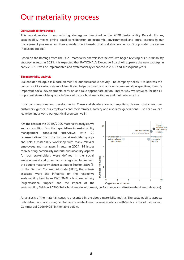### Our materiality process

#### **Our sustainability strategy**

This report relates to our existing strategy as described in the 2020 Sustainability Report. For us, sustainability means giving equal consideration to economic, environmental and social aspects in our management processes and thus consider the interests of all stakeholders in our Group under the slogan "Focus on people".

Based on the findings from the 2021 materiality analysis (see below), we began revising our sustainability strategy in autumn 2021. It is expected that RATIONAL's Executive Board will approve the new strategy in early 2022. It will be implemented and systematically enhanced in 2022 and subsequent years.

#### **The materiality analysis**

Stakeholder dialogue is a core element of our sustainable activity. The company needs it to address the concerns of its various stakeholders. It also helps us to expand our own commercial perspectives, identify important social developments early on and take appropriate action. That is why we strive to include all important stakeholder groups influenced by our business activities and their interests in al

l our considerations and developments. These stakeholders are our suppliers, dealers, customers, our customers' guests, our employees and their families, society and also later generations – so that we can leave behind a world our grandchildren can live in.

On the basis of the 2019/2020 materiality analysis, we and a consulting firm that specialises in sustainability management conducted interviews with 20 representatives from the various stakeholder groups and held a materiality workshop with many relevant employees and managers in autumn 2021. 14 issues representing particularly material sustainability aspects for our stakeholders were defined in the social, environmental and governance categories. In line with the double materiality clause set out in Section 289c (3) of the German Commercial Code (HGB), the criteria assessed were the influence on the respective sustainability field from RATIONAL's business activity (organisational impact) and the impact of the



sustainability field on RATIONAL's business development, performance and situation (business relevance).

An analysis of the material issues is presented in the above materiality matrix. The sustainability aspects defined as material are assigned to the sustainability matters in accordance with Section 289c of the German Commercial Code (HGB) in the table below.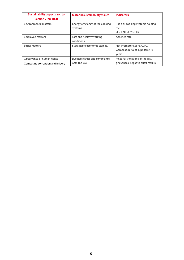| Sustainability aspects acc. to<br><b>Section 289c HGB</b>      | <b>Material sustainability issues</b>          | <b>Indicators</b>                                                        |
|----------------------------------------------------------------|------------------------------------------------|--------------------------------------------------------------------------|
| <b>Environmental matters</b>                                   | Energy efficiency of the cooking<br>systems    | Ratio of cooking systems holding<br>the<br><b>U.S. ENERGY STAR</b>       |
| <b>Employee matters</b>                                        | Safe and healthy working<br>conditions         | Absence rate                                                             |
| Social matters                                                 | Sustainable economic stability                 | Net Promoter Score, U.i.U.<br>Compass, ratio of suppliers $> 6$<br>years |
| Observance of human rights<br>Combating corruption and bribery | Business ethics and compliance<br>with the law | Fines for violations of the law.<br>grievances, negative audit results   |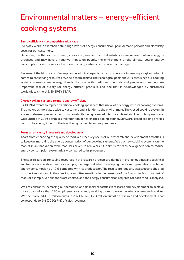# <span id="page-9-0"></span>Environmental matters – energy-efficient cooking systems

#### **Energy efficiency is a competitive advantage**

Everyday work in a kitchen entails high levels of energy consumption, peak demand periods and electricity costs for our customers.

Depending on the source of energy, various gases and harmful substances are released when energy is produced and may have a negative impact on people, the environment or the climate. Lower energy consumption over the service life of our cooking systems can reduce that damage.

Because of the high costs of energy and ecological aspects, our customers are increasingly vigilant when it comes to conserving resources. We help them achieve their ecological goals and cut costs, since our cooking systems consume less energy than is the case with traditional methods and predecessor models. An important seal of quality for energy-efficient products, and one that is acknowledged by customers worldwide, is the U.S. ENERGY STAR.

#### **Closed cooking systems are more energy-efficient**

RATIONAL wants to replace traditional cooking appliances that use a lot of energy with its cooking systems. That makes us more attractive to customers and is kinder to the environment. The closed cooking system in a combi-steamer prevents heat from constantly being released into the ambient air. The triple-glazed door we launched in 2016 optimises the retention of heat in the cooking cabinet. Software-based cooking profiles control the energy input for the food being cooked to suit requirements.

#### **Focus on efficiency in research and development**

Apart from enhancing the quality of food, a further key focus of our research and development activities is to keep on improving the energy consumption of our cooking systems. We put new cooking systems on the market in an innovation cycle that lasts seven to ten years. Our aim is for each new generation to reduce energy consumption systematically compared to its predecessor.

The specific targets for saving resources in the research projects are defined in project outlines and technical and functional specifications. For example, the target set when developing the iCombi generation was to cut energy consumption by 10% compared with its predecessor. The results are regularly assessed and checked in project reports and in the steering committee meetings in the presence of the Executive Board. As part of that, for example, various foods are cooked, and the energy consumption required for each food is analysed.

We are constantly increasing our personnel and financial capacities in research and development to achieve those goals. More than 220 employees are currently working to improve our cooking systems and services. We spent around 45.1 million euros in 2021 (2020: 42.3 million euros) on research and development. That corresponds to 6% (2020: 7%) of sales revenues.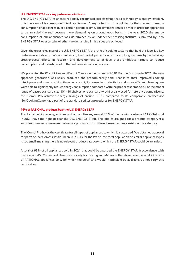#### **U.S. ENERGY STAR as a key performance indicator**

The U.S. ENERGY STAR is an internationally recognised seal attesting that a technology is energy-efficient. It is the symbol for energy-efficient appliances. A key criterion to be fulfilled is the maximum energy consumption of appliances over a certain period of time. The limits that must be met in order for appliances to be awarded the seal become more demanding on a continuous basis. In the year 2020 the energy consumption of our appliances was determined by an independent testing institute, submitted by it to ENERGY STAR to ascertain whether the demanding limit values are achieved.

Given the great relevance of the U.S. ENERGY STAR, the ratio of cooking systems that hold this label is a key performance indicator. We are enhancing the market perception of our cooking systems by undertaking cross-process efforts in research and development to achieve these ambitious targets to reduce consumption and furnish proof of that in the examination process.

We presented the iCombi Plus and iCombi Classic on the market in 2020. For the first time in 2021, the new appliance generation was solely produced and predominantly sold. Thanks to their improved cooking intelligence and lower cooking times as a result, increases in productivity and more efficient cleaning, we were able to significantly reduce energy consumption compared with the predecessor models. For the model range of gastro standard size 101 (10 shelves, one standard width) usually used for reference comparisons, the iCombi Pro achieved energy savings of around 18 % compared to its comparable predecessor (SelfCookingCenter) as a part of the standardised test procedures for ENERGY STAR.

#### **76% of RATIONAL products bear the U.S. ENERGY STAR**

Thanks to the high energy efficiency of our appliances, around 76% of the cooking systems RATIONAL sold in 2021 have the right to bear the U.S. ENERGY STAR. The label is assigned for a product category if a sufficient number of measured values for products from different manufacturers exists in this category.

The iCombi Pro holds the certificate for all types of appliances to which it is awarded. We obtained approval for parts of the iCombi Classic line in 2021. As for the iVario, the total population of similar appliance types is too small, meaning there is no relevant product category to which the ENERGY STAR could be awarded.

A total of 93% of all appliances sold in 2021 that could be awarded the ENERGY STAR in accordance with the relevant ASTM standard (American Society for Testing and Materials) therefore have the label. Only 7 % of RATIONAL appliances sold, for which the certificate would in principle be available, do not carry this certification.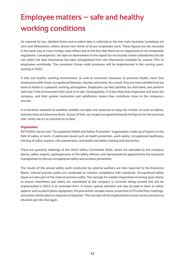# <span id="page-11-0"></span>Employee matters – safe and healthy working conditions

As required by law, detailed illness and accident data is collected at the two main locations Landsberg am Lech and Wittenheim, where almost two-thirds of all our employees work. These figures are not recorded in the same way at many foreign sales offices due to the fact that there are no regulations or no comparable regulations. Consequently, the data on absenteeism in this report for structurally similar subsidiaries that do not collect the data themselves has been extrapolated from the information available for around 75% of employees worldwide. The consistent Group-wide processes will be implemented in the coming years, starting in 2022.

A safe and healthy working environment, as well as numerous measures to promote health, mean that employees suffer fewer occupational illnesses, injuries, and stress. As a result, they are more satisfied and are more at home in a pleasant working atmosphere. Employees can feel satisfied, be motivated, and perform well only if the environment they work in is safe. Consequently, it is less likely that employees will leave the company, and their greater motivation and satisfaction means they contribute more to the company's success.

It is therefore essential to establish suitable concepts and measures to keep the number of work accidents, sickness rates and absences down. As part of that, our targets are geared towards the figures for the previous year, which we try to improve on or beat.

#### **Organisation**

RATIONAL has its own "Occupational Health and Safety Promotion" organisation, made up of experts in the field of safety at work. It addresses issues such as health protection, work safety, occupational healthcare, training of safety experts, risk assessments, and health and safety training and instruction.

There are quarterly meetings of the Work Safety Committee (ASA), which are attended by the company doctor, safety experts, spokespersons of the safety officers, and representatives appointed by the executive management to discuss occupational safety and accident prevention.

The results of the annual safety audit conducted by external auditors are then reported to the Executive Board. Internal process audits are conducted to monitor compliance with standards. Occupational safety issues are also part of the internal process audits. The concept for weekly inspections involving spot checks to ensure cleanliness and safety are maintained at the company is currently being revised and will be implemented in 2022 in an amended form. In future, special attention will also be paid in them to safety aspects, such as alarm plans, equipment, fire prevention, escape routes, protection of PCs and floor markings, and action will be taken in response to breaches. The concept will be implemented as soon as the coronavirus situation permits that again.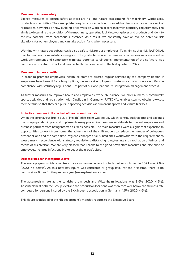#### **Measures to increase safety**

Explicit measures to ensure safety at work are risk and hazard assessments for machinery, workplaces, products and activities. They are updated regularly or carried out on an ad-hoc basis, such as in the event of relocations, new hires or new building or conversion work, in accordance with statutory requirements. The aim is to determine the condition of the machinery, operating facilities, workplaces and products and identify the risk potential from hazardous substances. As a result, we constantly have an eye on potential risk situations for our employees and can take action if and when necessary.

Working with hazardous substances is also a safety risk for our employees. To minimise that risk, RATIONAL maintains a hazardous substances register. The goal is to reduce the number of hazardous substances in the work environment and completely eliminate potential carcinogens. Implementation of the software was commenced in autumn 2021 and is expected to be completed in the first quarter of 2022.

#### **Measures to improve health**

In order to promote employees' health, all staff are offered regular services by the company doctor. If employees have been ill for a lengthy time, we support employees to return gradually to working life – in compliance with statutory regulations – as part of our occupational re-integration management process.

As further measures to improve health and employees' work-life balance, we offer numerous community sports activities and registration with Qualitrain in Germany. RATIONAL enables staff to obtain low-cost membership so that they can pursue sporting activities at numerous sports and leisure facilities.

#### **Protective measures in the context of the coronavirus crisis**

When the coronavirus broke out, a "Health" crisis team was set up, which continuously adapts and expands the group's pandemic plan and implements many protective measures worldwide to prevent employees and business partners from being infected as far as possible. The main measures were a significant expansion in opportunities to work from home, the adjustment of the shift models to reduce the number of colleagues present at one and the same time, hygiene concepts at all subsidiaries worldwide with the requirement to wear a mask in accordance with statutory regulations, distancing rules, testing and vaccination offerings, and means of disinfection. We are very pleased that, thanks to the good preventive measures and discipline of employees, no large infections broke out at the group's sites.

#### **Sickness rate at an inconspicuous level**

The average group-wide absenteeism rate (absences in relation to target work hours) in 2021 was 2.9% (2020: no details). As this new key figure was calculated at group level for the first time, there is no comparative figure for the previous year (see explanation above).

The absenteeism rate at the Landsberg am Lech and Wittenheim locations was 3.6% (2020: 4.5%). Absenteeism at both the Group level and the production locations was therefore well below the sickness rate computed for persons insured by the BKK industry association in Germany (4.5%; 2020: 4.6%).

This figure is included in the HR department's monthly reports to the Executive Board.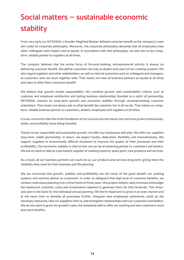# <span id="page-13-0"></span>Social matters – sustainable economic stability

From very early on, RATIONAL's founder Siegfried Meister defined customer benefit as the company's main aim under its corporate philosophy. Moreover, the corporate philosophy demands that all employees treat other colleagues with respect and as equals. In accordance with that philosophy, we also aim to be a longterm, reliable partner to suppliers at all times.

The company believes that the prime focus of forward-looking, entrepreneurial activity is always on delivering customer benefit. We define customers not only as dealers and users of our cooking systems. We also regard suppliers and other stakeholders, as well as internal customers such as colleagues and managers, as customers who we work together with. That means we treat all business partners as equals at all times and want to offer them maximum benefit.

We believe that growth entails responsibility. We combine growth with sustainability criteria, such as customer and employee satisfaction and lasting business relationships founded on a spirit of partnership. RATIONAL ensures its long-term growth and economic stability through uncompromising customer orientation. That means we always ask us what benefit the customer has in all we do. That makes us a longterm, reliable business partner to customers, dealers, employees and suppliers at all times.

It is our conviction that this is the foundation of our success and the reason why we have grown continuously, stably, and profitably since being founded.

Thanks to our responsible and sustainable growth, we offer our employees safe jobs. We offer our suppliers long-term, stable partnership. In return, we expect loyalty, dedication, flexibility and innovativeness. We support suppliers in economically difficult situations to improve the quality of their processes and their profitability. Our economic stability is vital so that we can be an enduring partner to customers and dealers. We are on hand to help as a permanent supplier of cooking systems, spare parts, care products and services.

As a result, all our business partners can count on us, our products and services long term, giving them the reliability they need for their business and life planning.

We are convinced that growth, stability and profitability are the result of the great benefit our cooking systems and services deliver to customers. In order to safeguard that high level of customer benefits, we conduct meticulous planning over a time frame of three years. We project realistic sales revenues and budget the headcount, activities, costs and investments required to generate them for that timescale. This threeyear plan is the basis for the individual annual planning. We feel it important to grow in an even manner and at the same time to develop all processes further, integrate new employees extensively, build up the necessary resources, take our suppliers with us, and strengthen relationships with our customers and dealers. We do not want to grow for growth's sake, but instead be able to offer our existing and new customers more and more benefits.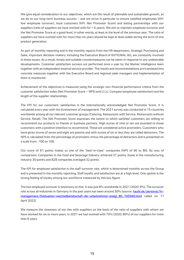We give equal consideration to our objectives, which are the result of plannable and sustainable growth, as we do to our long-term business success – and we strive in particular to ensure satisfied employees (KPI: low employee turnover), loyal customers (KPI: Net Promoter Score) and lasting partnerships with our suppliers (ratio of suppliers we have worked with for > 6 years). We aim to maintain employee turnover and the Net Promoter Score at a good level, in other words, at least at the level of the previous year. The ratio of suppliers we have worked with for more than six years should be kept at least stable during the term of one product generation.

As part of monthly reporting and in the monthly reports from the HR department, Strategic Purchasing and Sales, important decision-makers, including the Executive Board of RATIONAL AG, are constantly involved in these issues. As a result, timely and suitable countermeasures can be taken in response to any undesirable developments. Customer satisfaction surveys are performed once a year by the Market Intelligence team together with an independent external service provider. The results and recommendations are translated into concrete measures together with the Executive Board and regional sales managers and implementation of them is monitored.

Achievement of the objectives is measured using the strategic non-financial performance criteria from the customer satisfaction index (Net Promoter Score – NPS) and U.i.U. Compass (employee satisfaction) and the length of the supplier relationships.

The KPI for our customers' satisfaction is the internationally acknowledged Net Promoter Score. It is calculated every year with the involvement of management. The 2021 survey was conducted in 15 countries worldwide among all our relevant customer groups (Catering, Restaurants with Service, Restaurants without Service, Retail). The Net Promoter Score expresses the extent to which satisfied customers are willing to recommend our products to friends or business partners. High scores of nine or ten are awarded to those customers with a positive intention to recommend. These are considered active promoters. Customers who have given scores of seven and eight are passive and with scores of six or less they are called detractors. The NPS is calculated from the percentage of promoters minus the percentage of detractors and is presented on a scale from -100 to 100.

Our score of 61 points makes us one of the "best-in-class" companies (NPS of 60 to 80). By way of comparison: Companies in the food and beverage industry achieved 37 points, those in the manufacturing industry 30 points and B2B companies averaged 32 points.

The KPI for employee satisfaction is the staff turnover rate, which is determined monthly across the Group and is presented in the monthly reporting. Staff loyalty and satisfaction are at a high level. One upshot is the strong feeling of loyalty among our workforce measured by this key figure.

The low employee turnover is testimony to that. It was just 8% worldwide in 2021 (2020: 9%). The turnover rate across all industries in Germany in the past years has been around 30% (source: [haufe.de/personal/hr](https://www.haufe.de/personal/hr-management/fluktuation-wechselbereitschaft-der-arbeitnehmer-steigt_80_193940.html)[management/fluktuation-wechselbereitschaft-der-arbeitnehmer-steigt\\_80\\_193940.html](https://www.haufe.de/personal/hr-management/fluktuation-wechselbereitschaft-der-arbeitnehmer-steigt_80_193940.html) called on 11 April 2022).

We measure the closeness of our ties with suppliers on the basis of the ratio of suppliers with whom we have worked for six or more years. In 2021 we had worked with 73% (2020: 80%) of our suppliers for more than 6 years.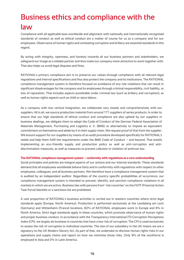# <span id="page-15-0"></span>Business ethics and compliance with the

### law

Compliance with all applicable laws worldwide and alignment with nationally and internationally recognised standards of conduct as well as ethical conduct are a matter of course for us as a company and for our employees. Observance of human rights and combating corruption and bribery are essential standards in this regard.

By acting with integrity, openness, and honesty towards all our business partners and stakeholders, we safeguard our image as a reliable partner and thus make our company more attractive to work together with. That also helps us avoid legal disputes and fines.

RATIONAL's primary compliance aim is to preserve our values through compliance with all relevant legal regulations and internal specifications and thus also protect the company and its institutions. The RATIONAL compliance management system is therefore focused on avoidance of any rule violations that can result in significant disadvantages for the company and its employees through criminal responsibility, civil liability, or loss of reputation. That includes aspects punishable under criminal law (such as bribery and corruption), as well as human rights aspects such as child or slave labour.

As a company with low vertical integration, we collaborate very closely and comprehensively with our suppliers. All in all, we source production material from around 171 suppliers of series products. In order to ensure that our high standards of ethical conduct and compliance are also upheld by our suppliers in business dealings, we obligate them to adopt the Code of Conduct of the German Federal Association of Materials Management, Purchasing and Logistics e. V. (BME) or alternatively to impose an equivalent commitment on themselves and abide by it in their supply chain. We request proof of that from the supplier. We ensure support for our suppliers by means of an audit procedure developed specifically for RATIONAL's needs and help them fulfil the requirements under the BME Code of Conduct – and beyond. That entails implementing an eco-friendly supply and production policy as well as anti-corruption and antidiscrimination measures, as well as measures to prevent collusion in violation of antitrust law.

#### **The RATIONAL compliance management system – conformity with regulations as a core understanding**

Social principles and policies are integral aspects of our actions and our internal standards. These standards demand that all employees worldwide behave fairly and in conformity with regulations with respect to other employees, colleagues, and all business partners. We therefore have a compliance management system that is audited by an independent auditor. Regardless of the country-specific probabilities of occurrence, our compliance management system is intended to prevent, identify, and sanction compliance violations in all markets in which we are active. Business ties with persons from "risk countries" on the FATF (Financial Action Task Force) blacklist or a sanctions list are prohibited.

A vast proportion of RATIONAL's business activities is carried out in western countries where strict legal standards apply (Europe, North America). Production is performed exclusively at the Landsberg am Lech (Germany) and Wittenheim (France) locations. 82% of RATIONAL employees work in Europe and 6% in North America. Strict legal standards apply in these countries, which promote observance of human rights and proper business conduct. In accordance with the Transparency International (TI) Corruption Perceptions Index (CPI), we largely do business in countries that have a low risk of corruption. The CPI is used exclusively to assess the risk of corruption in individual countries. The size of our subsidiary in the UK means we are a signatory to the UK Modern Slavery Act. As part of that, we undertake to disclose human rights risks in our operations and supply chains and report on how we minimise those risks. Only 9% of the workforce is employed in Asia and 3% in Latin America.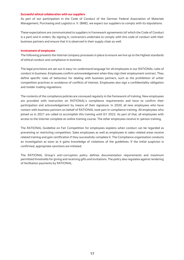#### **Successful ethical collaboration with our suppliers**

As part of our participation in the Code of Conduct of the German Federal Association of Materials Management, Purchasing and Logistics e. V. (BME), we expect our suppliers to comply with its stipulations.

These expectations are communicated to suppliers in framework agreements (of which the Code of Conduct is a part) and in orders. By signing it, contractors undertake to comply with this code of conduct with their business partners and ensure that it is observed in their supply chain as well.

#### **Involvement of employees**

The following presents the internal company processes in place to ensure we live up to the highest standards of ethical conduct and compliance in business.

The legal provisions are set out in easy-to-understand language for all employees in our RATIONAL rules of conduct in business. Employees confirm acknowledgement when they sign their employment contract. They define specific rules of behaviour for dealing with business partners, such as the prohibition of unfair competition practices or avoidance of conflicts of interest. Employees also sign a confidentiality obligation and insider trading regulations.

The contents of the compliance policies are conveyed regularly in the framework of training. New employees are provided with instruction on RATIONAL's compliance requirements and have to confirm their participation and acknowledgement by means of their signature. In 2020, all new employees who have contact with business partners on behalf of RATIONAL took part in compliance training. All employees who joined us in 2021 are called to accomplish this training until Q1 2022. As part of that, all employees with access to the Internet complete an online training course. The other employees receive in-person training.

The RATIONAL Guideline on Fair Competition for employees explains when conduct can be regarded as preventing or restricting competition. Sales employees as well as employees in sales-related areas receive related training and gain certification if they successfully complete it. The Compliance organisation conducts an investigation as soon as it gains knowledge of violations of the guidelines. If the initial suspicion is confirmed, appropriate sanctions are initiated.

The RATIONAL Group's anti-corruption policy defines documentation requirements and maximum permitted thresholds for giving and receiving gifts and invitations. The policy also regulates against rendering of facilitation payments by RATIONAL.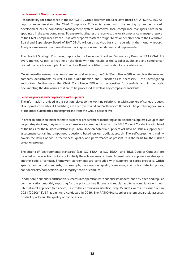#### **Involvement of Group management**

Responsibility for compliance in the RATIONAL Group lies with the Executive Board of RATIONAL AG. As regards implementation, the Chief Compliance Officer is tasked with the setting up and enhanced development of the compliance management system. Moreover, local compliance managers have been appointed in the sales companies. To ensure that figures are received, the local compliance managers report to the Chief Compliance Officer. That latter reports matters brought to his or her attention to the Executive Board and Supervisory Board of RATIONAL AG on an ad-hoc basis or regularly in the monthly report. Adequate measures to address the matter in question are then defined and implemented.

The Head of Strategic Purchasing reports to the Executive Board and Supervisory Board of RATIONAL AG every month. As part of that, he or she deals with the results of the supplier audits and any compliancerelated matters, for example. The Executive Board is notified directly about any acute issues.

Once these disclosures have been examined and assessed, the Chief Compliance Officer involves the relevant company departments as well as the audit function and  $-$  insofar as is necessary  $-$  the investigating authorities. Furthermore, the Chief Compliance Officer is responsible for carefully and immediately documenting the disclosures that are to be processed as well as any compliance incidents.

#### **Selection process and cooperation with suppliers**

The information provided in this section relates to the working relationship with suppliers of series products at our production sites at Landsberg am Lech (Germany) and Wittenheim (France). The purchasing volumes of the other subsidiaries are insignificant from the Group perspective.

In order to obtain an initial estimate as part of procurement marketing as to whether suppliers live up to our corporate principles, they must sign a framework agreement in which the BME Code of Conduct is stipulated as the basis for the business relationship. From 2022 on potential suppliers will have to issue a supplier selfassessment containing pinpointed questions based on our audit approach. The self-assessment mainly covers the issues of cost-effectiveness, quality and performance at present. It is the basis for the further selection process.

The criteria of "environmental standards" (e.g. ISO 14001 or ISO 15001) and "BME Code of Conduct" are included in the selection, but are not initially the sole exclusion criteria. Alternatively, a supplier can also apply another code of conduct. Framework agreements are concluded with suppliers of series products, which specify contractual standards, for example, cooperation, quality assurance, claims for defects, prices, confidentiality/competition, and integrity/code of conduct.

In addition to supplier certification, successful cooperation with suppliers is underpinned by open and regular communication, monthly reporting for the principal key figures and regular audits in compliance with our internal audit approach (see above). Due to the coronavirus situation, only 35 audits were also carried out in 2021 (2020: 13). 57 audits were conducted in 2019. The RATIONAL supplier system separately assesses product quality and the quality of cooperation.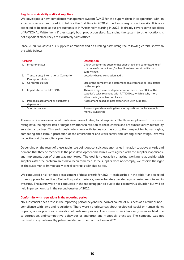#### **Regular sustainability audits at suppliers**

We developed a new compliance management system (CMS) for the supply chain in cooperation with an external specialist and used it in full for the first time in 2020 at the Landsberg production site. It is also expected to be used at our production site in Wittenheim starting in 2023. It already covers some suppliers of RATIONAL Wittenheim if they supply both production sites. Expanding the system to other locations is not expedient since they are exclusively sales offices.

Since 2020, we assess our suppliers at random and on a rolling basis using the following criteria shown in the table below:

| <b>Criteria</b> |                                                            | <b>Description</b>                                                                                                                                             |  |
|-----------------|------------------------------------------------------------|----------------------------------------------------------------------------------------------------------------------------------------------------------------|--|
| 1.              | Integrity status                                           | Check whether the supplier has subscribed and committed itself<br>to a code of conduct and/or has likewise committed its own<br>supply chain.                  |  |
| 2.              | Transparency International Corruption<br>Perceptions Index | Location-based corruption audit                                                                                                                                |  |
| 3.              | Corporate culture                                          | Size of the company as a statement on awareness of legal issues<br>by the supplier                                                                             |  |
| 4.              | Impact status on RATIONAL                                  | There is a high level of dependence for more than 50% of the<br>supplier's sales revenues with RATIONAL, which is why more<br>attention is given to compliance |  |
| 5.              | Personal assessment of purchasing<br>department            | Assessment based on past experience with suppliers                                                                                                             |  |
| 6.              | Short interview                                            | Answering and evaluating five short questions on, for example,<br>money laundering                                                                             |  |

These six criteria are evaluated to obtain an overall rating for all suppliers. The three suppliers with the lowest rating have the highest risk of major deviations in relation to these criteria and are subsequently audited by an external partner. This audit deals intensively with issues such as corruption, respect for human rights, combating child labour, protection of the environment and work safety and, among other things, involves inspections at the supplier's premises.

Depending on the result of these audits, we point out conspicuous anomalies in relation to above criteria and demand that they be rectified. In the past, development measures were agreed with the supplier if applicable and implementation of them was monitored. The goal is to establish a lasting working relationship with suppliers after the problem areas have been remedied. If the supplier does not comply, we reserve the right as the customer to immediately cancel contracts with due notice.

We conducted a risk-oriented assessment of these criteria for 2021 – as described in the table – and selected three suppliers for auditing. Guided by past experience, we deliberately decided against using remote audits this time. The audits were not conducted in the reporting period due to the coronavirus situation but will be held in person on site in the second quarter of 2022.

#### **Conformity with regulations in the reporting period**

No substantial fines arose in the reporting period beyond the normal course of business as a result of noncompliance with laws and regulations. There were no grievances about ecological, social or human rights impacts, labour practices or violation of customer privacy. There were no incidents or grievances filed due to corruption, anti-competitive behaviour or anti-trust and monopoly practices. The company was not involved in any noteworthy patent-related or other court action in 2021.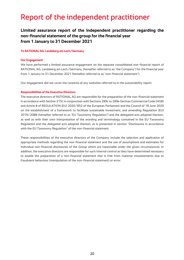### <span id="page-19-0"></span>Report of the independent practitioner

#### **Limited assurance report of the independent practitioner regarding the non-financial statement of the group for the financial year from 1 January to 31 December 2021**

#### **To RATIONAL AG, Landsberg am Lech/Germany**

#### **Our Engagement**

We have performed a limited assurance engagement on the separate consolidated non-financial report of RATIONAL AG, Landsberg am Lech/Germany, (hereafter referred to as "the Company") for the financial year from 1 January to 31 December 2021 (hereafter referred to as "non-financial statement").

Our engagement did not cover the contents of any websites referred to in the sustainability report.

#### **Responsibilities of the Executive Directors**

The executive directors of RATIONAL AG are responsible for the preparation of the non-financial statement in accordance with Section 315c in conjunction with Sections 289c to 289e German Commercial Code (HGB) and Article 8 of REGULATION (EU) 2020/852 of the European Parliament and the Council of 18 June 2020 on the establishment of a framework to facilitate sustainable investment, and amending Regulation (EU) 2019/2088 (hereafter referred to as "EU Taxonomy Regulation") and the delegated acts adopted thereon, as well as with their own interpretation of the wording and terminology contained in the EU Taxonomy Regulation and the delegated acts adopted thereon, as is presented in section "Disclosures in accordance with the EU Taxonomy Regulation" of the non-financial statement.

These responsibilities of the executive directors of the Company include the selection and application of appropriate methods regarding the non-financial statement and the use of assumptions and estimates for individual non-financial disclosures of the Group which are reasonable under the given circumstances. In addition, the executive directors are responsible for such internal control as they have determined necessary to enable the preparation of a non-financial statement that is free from material misstatements due to fraudulent behaviour (manipulation of the non-financial statement) or error.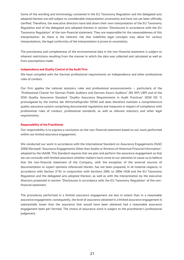Some of the wording and terminology contained in the EU Taxonomy Regulation and the delegated acts adopted thereon are still subject to considerable interpretation uncertainty and have not yet been officially clarified. Therefore, the executive directors have laid down their own interpretation of the EU Taxonomy Regulation and of the delegated acts adopted thereon in section "Disclosures in accordance with the EU Taxonomy Regulation" of the non-financial statement. They are responsible for the reasonableness of this interpretation. As there is the inherent risk that indefinite legal concepts may allow for various interpretations, the legal conformity of the interpretation is prone to uncertainty.

The preciseness and completeness of the environmental data in the non-financial statement is subject to inherent restrictions resulting from the manner in which the data was collected and calculated as well as from assumptions made.

#### **Independence and Quality Control of the Audit Firm**

We have complied with the German professional requirements on independence and other professional rules of conduct.

Our firm applies the national statutory rules and professional announcements – particularly of the "Professional Charter for German Public Auditors and German Sworn Auditors" (BS WP/vBP) and of the IDW Quality Assurance Standard "Quality Assurance Requirements in Audit Practices" (IDW QS 1) promulgated by the Institut der Wirtschaftsprüfer (IDW) and does therefore maintain a comprehensive quality assurance system comprising documented regulations and measures in respect of compliance with professional rules of conduct, professional standards, as well as relevant statutory and other legal requirements.

#### **Responsibility of the Practitioner**

Our responsibility is to express a conclusion on the non-financial statement based on our work performed within our limited assurance engagement.

We conducted our work in accordance with the International Standard on Assurance Engagements (ISAE) 3000 (Revised) "Assurance Engagements Other than Audits or Reviews of Historical Financial Information", adopted by the IAASB. This Standard requires that we plan and perform the assurance engagement so that we can conclude with limited assurance whether matters have come to our attention to cause us to believe that the non-financial statement of the Company, with the exception of the external sources of documentation or expert opinions referenced therein, has not been prepared, in all material respects, in accordance with Section 315c in conjunction with Sections 289c to 289e HGB and the EU Taxonomy Regulation and the delegated acts adopted thereon, as well as with the interpretation by the executive directors presented in section "Disclosures in accordance with the EU Taxonomy Regulation" of the nonfinancial statement.

The procedures performed in a limited assurance engagement are less in extent than in a reasonable assurance engagement; consequently, the level of assurance obtained in a limited assurance engagement is substantially lower than the assurance that would have been obtained had a reasonable assurance engagement been per-formed. The choice of assurance work is subject to the practitioner's professional judgement.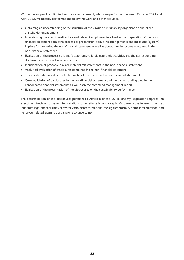Within the scope of our limited assurance engagement, which we performed between October 2021 and April 2022, we notably performed the following work and other activities:

- Obtaining an understanding of the structure of the Group's sustainability organisation and of the stakeholder engagement
- Interviewing the executive directors and relevant employees involved in the preparation of the nonfinancial statement about the process of preparation, about the arrangements and measures (system) in place for preparing the non-financial statement as well as about the disclosures contained in the non-financial statement
- Evaluation of the process to identify taxonomy-eligible economic activities and the corresponding disclosures in the non-financial statement
- Identification of probable risks of material misstatements in the non-financial statement
- Analytical evaluation of disclosures contained in the non-financial statement
- Tests of details to evaluate selected material disclosures in the non-financial statement
- Cross validation of disclosures in the non-financial statement and the corresponding data in the consolidated financial statements as well as in the combined management report
- Evaluation of the presentation of the disclosures on the sustainability performance

The determination of the disclosures pursuant to Article 8 of the EU Taxonomy Regulation requires the executive directors to make interpretations of indefinite legal concepts. As there is the inherent risk that indefinite legal concepts may allow for various interpretations, the legal conformity of the interpretation, and hence our related examination, is prone to uncertainty.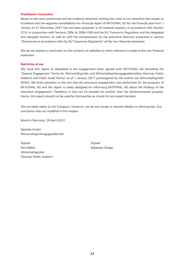#### **Practitioner's Conclusion**

Based on the work performed and the evidence obtained, nothing has come to our attention that causes us to believe that the separate consolidated non-financial report of RATIONAL AG for the financial year from 1 January to 31 December 2021 has not been prepared, in all material respects, in accordance with Section 315c in conjunction with Sections 289c to 289e HGB and the EU Taxonomy Regulation and the delegated acts adopted thereon, as well as with the interpretation by the executive directors presented in section "Disclosures in accordance with the EU Taxonomy Regulation" of the non-financial statement.

We do not express a conclusion on the contents of websites to which reference is made in the non-financial statement

#### **Restriction of use**

We issue this report as stipulated in the engagement letter agreed with RATIONAL AG (including the "General Engagement Terms for Wirtschaftsprüfer and Wirtschaftsprüfungsgesellschaften (German Public Auditors and Public Audit Firms)" as of 1 January 2017 promulgated by the Institut der Wirtschaftsprüfer (IDW)). We draw attention to the fact that the assurance engagement was performed for the purposes of RATIONAL AG and the report is solely designed for informing RATIONAL AG about the findings of the assurance engagement. Therefore, it may not be suitable for another than the aforementioned purpose. Hence, this report should not be used by third parties as a basis for any (asset) decision.

We are liable solely to the Company. However, we do not accept or assume liability to third parties. Our conclusion was not modified in this respect.

Munich/Germany, 26 April 2022

Deloitte GmbH Wirtschaftsprüfungsgesellschaft

Signed: Signed: Signed: Signed: Signed: Signed: Signed: Signed: Signed: Signed: Signed: Signed: Signed: Signed: Signed: Signed: Signed: Signed: Signed: Signed: Signed: Signed: Signed: Signed: Signed: Signed: Signed: Signed Dirk Bäßler Sebastian Dingel Wirtschaftsprüfer (German Public Auditor)